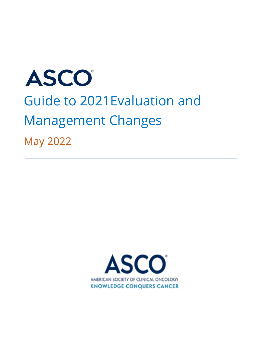# ASCO Guide to 2021Evaluation and Management Changes May 2022

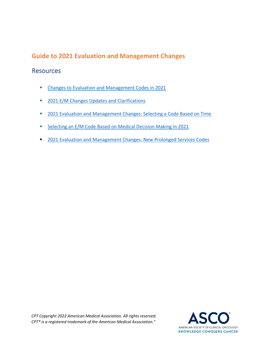## **Guide to 2021 Evaluation and Management Changes**

### Resources

- [Changes to Evaluation and Management Codes in 2021](#page-2-0)
- [2021 E/M Changes Updates and Clarifications](#page-3-0)
- [2021 Evaluation and Management Changes: Selecting a Code Based on Time](#page-7-0)
- [Selecting an E/M Code Based on Medical Decision Making in 2021](#page-9-0)
- [2021 Evaluation and Management Changes: New Prolonged Services Codes](#page-18-0)

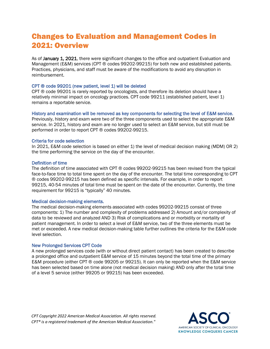# <span id="page-2-0"></span>Changes to Evaluation and Management Codes in 2021: Overview

As of January 1, 2021, there were significant changes to the office and outpatient Evaluation and Management (E&M) services (CPT ® codes 99202-99215) for both new and established patients. Practices, physicians, and staff must be aware of the modifications to avoid any disruption in reimbursement.

#### CPT ® code 99201 (new patient, level 1) will be deleted

CPT ® code 99201 is rarely reported by oncologists, and therefore its deletion should have a relatively minimal impact on oncology practices. CPT code 99211 (established patient, level 1) remains a reportable service.

#### History and examination will be removed as key components for selecting the level of E&M service.

Previously, history and exam were two of the three components used to select the appropriate E&M service. In 2021, history and exam are no longer used to select an E&M service, but still must be performed in order to report CPT ® codes 99202-99215.

#### Criteria for code selection

In 2021, E&M code selection is based on either 1) the level of medical decision making (MDM) OR 2) the time performing the service on the day of the encounter.

#### Definition of time

The definition of time associated with CPT ® codes 99202-99215 has been revised from the typical face-to-face time to total time spent on the day of the encounter. The total time corresponding to CPT ® codes 99202-99215 has been defined as specific intervals. For example, in order to report 99215, 40-54 minutes of total time must be spent on the date of the encounter. Currently, the time requirement for 99215 is "typically" 40 minutes.

#### Medical decision-making elements.

The medical decision-making elements associated with codes 99202-99215 consist of three components: 1) The number and complexity of problems addressed 2) Amount and/or complexity of data to be reviewed and analyzed AND 3) Risk of complications and or morbidity or mortality of patient management. In order to select a level of E&M service, two of the three elements must be met or exceeded. A new medical decision-making table further outlines the criteria for the E&M code level selection.

#### New Prolonged Services CPT Code

A new prolonged services code (with or without direct patient contact) has been created to describe a prolonged office and outpatient E&M service of 15 minutes beyond the total time of the primary E&M procedure (either CPT ® code 99205 or 99215). It can only be reported when the E&M service has been selected based on time alone (not medical decision making) AND only after the total time of a level 5 service (either 99205 or 99215) has been exceeded.

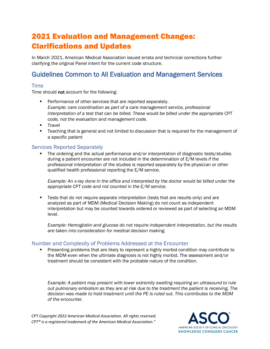# <span id="page-3-0"></span>2021 Evaluation and Management Changes: Clarifications and Updates

In March 2021, American Medical Association issued errata and technical corrections further clarifying the original Panel intent for the current code structure.

## Guidelines Common to All Evaluation and Management Services

#### Time

Time should not account for the following:

- **•** Performance of other services that are reported separately. *Example: care coordination as part of a care management service, professional interpretation of a test that can be billed. These would be billed under the appropriate CPT code, not the evaluation and management code.*
- Travel
- Teaching that is general and not limited to discussion that is required for the management of a specific patient

#### Services Reported Separately

The ordering and the actual performance and/or interpretation of diagnostic tests/studies during a patient encounter are not included in the determination of E/M levels if the professional interpretation of the studies is reported separately by the physician or other qualified health professional reporting the E/M service.

*Example: An x-ray done in the office and interpreted by the doctor would be billed under the appropriate CPT code and not counted in the E/M service.* 

**EXECT** Tests that do not require separate interpretation (tests that are results only) and are analyzed as part of MDM (Medical Decision Making) do not count as independent interpretation but may be counted towards ordered or reviewed as part of selecting an MDM level.

*Example: Hemoglobin and glucose do not require independent interpretation, but the results are taken into consideration for medical decision making.* 

#### Number and Complexity of Problems Addressed at the Encounter

**•** Presenting problems that are likely to represent a highly morbid condition may contribute to the MDM even when the ultimate diagnosis is not highly morbid. The assessment and/or treatment should be consistent with the probable nature of the condition.

*Example: A patient may present with lower extremity swelling requiring an ultrasound to rule out pulmonary embolism as they are at risk due to the treatment the patient is receiving. The decision was made to hold treatment until the PE is ruled out. This contributes to the MDM of the encounter.* 

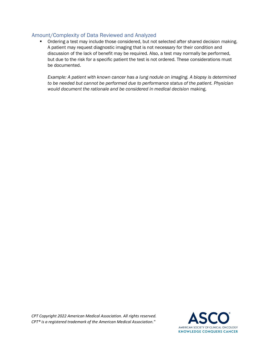#### Amount/Complexity of Data Reviewed and Analyzed

**•** Ordering a test may include those considered, but not selected after shared decision making. A patient may request diagnostic imaging that is not necessary for their condition and discussion of the lack of benefit may be required. Also, a test may normally be performed, but due to the risk for a specific patient the test is not ordered. These considerations must be documented.

*Example: A patient with known cancer has a lung nodule on imaging. A biopsy is determined to be needed but cannot be performed due to performance status of the patient. Physician would document the rationale and be considered in medical decision* making.

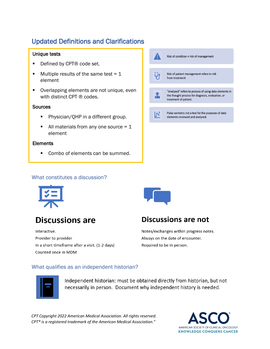# Updated Definitions and Clarifications

#### Unique tests

- Defined by CPT<sup>®</sup> code set.
- **■** Multiple results of the same test =  $1$ element
- Overlapping elements are not unique, even with distinct CPT ® codes.

#### **Sources**

- Physician/QHP in a different group.
- $\blacksquare$  All materials from any one source = 1 element

#### **Elements**

■ Combo of elements can be summed.



#### What constitutes a discussion?



# **Discussions are**

Interactive. Provider to provider In a short timeframe after a visit. (1-2 days) Counted once in MDM



## **Discussions are not**

Notes/exchanges within progress notes. Always on the date of encounter. Required to be in person.

#### What qualifies as an independent historian?



Independent historian: must be obtained directly from historian, but not necessarily in person. Document why independent history is needed.

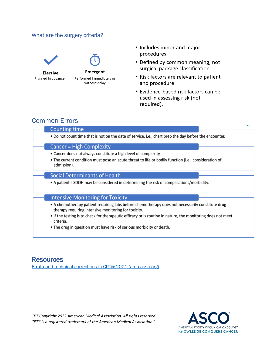#### What are the surgery criteria?





- Defined by common meaning, not surgical package classification
- Risk factors are relevant to patient and procedure
- Evidence-based risk factors can be used in assessing risk (not required).

## Common Errors

#### **Counting time**

. Do not count time that is not on the date of service, i.e., chart prep the day before the encounter.

#### **Cancer = High Complexity**

- Cancer does not always constitute a high level of complexity
- . The current condition must pose an acute threat to life or bodily function (i.e., consideration of admission).

#### **Social Determinants of Health**

. A patient's SDOH may be considered in determining the risk of complications/morbidity.

#### **Intensive Monitoring for Toxicity**

- A chemotherapy patient requiring labs before chemotherapy does not necessarily constitute drug therapy requiring intensive monitoring for toxicity.
- If the testing is to check for therapeutic efficacy or is routine in nature, the monitoring does not meet criteria.
- . The drug in question must have risk of serious morbidity or death.

## **Resources**

[Errata and technical corrections in CPT® 2021 \(ama-assn.org\)](https://www.ama-assn.org/system/files/cpt-corrections-errata-2021.pdf)

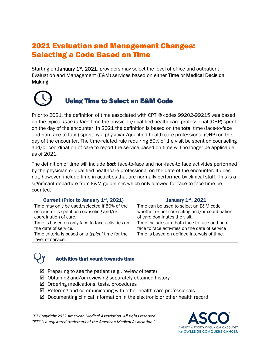# <span id="page-7-0"></span>2021 Evaluation and Management Changes: Selecting a Code Based on Time

Starting on January 1<sup>st</sup>, 2021, providers may select the level of office and outpatient Evaluation and Management (E&M) services based on either Time or Medical Decision Making.



# Using Time to Select an E&M Code

Prior to 2021, the definition of time associated with CPT ® codes 99202-99215 was based on the typical *face-to-face* time the physician/qualified health care professional (QHP) spent on the day of the encounter. In 2021 the definition is based on the total time (face-to-face and non-face-to-face) spent by a physician/qualified health care professional (QHP) on the day of the encounter. The time-related rule requiring 50% of the visit be spent on counseling and/or coordination of care to report the service based on time will no longer be applicable as of 2021.

The definition of time will include *both* face-to-face and non-face-to face activities performed by the physician or qualified healthcare professional on the date of the encounter. It does not, however, include time in activities that are normally performed by clinical staff. This is a significant departure from E&M guidelines which only allowed for face-to-face time be counted.

| Current (Prior to January 1 <sup>st</sup> , 2021) | January 1st, 2021                              |
|---------------------------------------------------|------------------------------------------------|
| Time may only be used/selected if 50% of the      | Time can be used to select an E&M code         |
| encounter is spent on counseling and/or           | whether or not counseling and/or coordination  |
| coordination of care.                             | of care dominates the visit.                   |
| Time is based on only face to face activities on  | Time includes are both face to face and non-   |
| the date of service.                              | face to face activities on the date of service |
| Time criteria is based on a typical time for the  | Time is based on defined intervals of time.    |
| level of service.                                 |                                                |

## Activities that count towards time

- $\boxtimes$  Preparing to see the patient (e.g., review of tests)
- $\boxtimes$  Obtaining and/or reviewing separately obtained history
- $\boxtimes$  Ordering medications, tests, procedures
- $\boxtimes$  Referring and communicating with other health care professionals
- $\boxtimes$  Documenting clinical information in the electronic or other health record

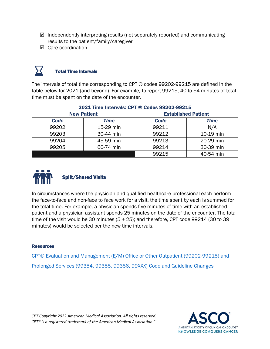- $\boxtimes$  Independently interpreting results (not separately reported) and communicating results to the patient/family/caregiver
- $\boxtimes$  Care coordination



#### Total Time Intervals

The intervals of total time corresponding to CPT ® codes 99202-99215 are defined in the table below for 2021 (and beyond). For example, to report 99215, 40 to 54 minutes of total time must be spent on the date of the encounter.

| 2021 Time Intervals: CPT ® Codes 99202-99215 |                    |                            |             |
|----------------------------------------------|--------------------|----------------------------|-------------|
|                                              | <b>New Patient</b> | <b>Established Patient</b> |             |
| <b>Code</b>                                  | Time               | <b>Code</b>                | <b>Time</b> |
| 99202                                        | 15-29 min          | 99211                      | N/A         |
| 99203                                        | 30-44 min          | 99212                      | 10-19 min   |
| 99204                                        | 45-59 min          | 99213                      | 20-29 min   |
| 99205                                        | 60-74 min          | 99214                      | 30-39 min   |
|                                              |                    | 99215                      | 40-54 min   |



In circumstances where the physician and qualified healthcare professional each perform the face-to-face and non-face to face work for a visit, the time spent by each is summed for the total time. For example, a physician spends five minutes of time with an established patient and a physician assistant spends 25 minutes on the date of the encounter. The total time of the visit would be 30 minutes  $(5 + 25)$ ; and therefore, CPT code 99214 (30 to 39 minutes) would be selected per the new time intervals.

#### Resources

[CPT® Evaluation and Management \(E/M\) Office or Other Outpatient \(99202-99215\) and](https://www.ama-assn.org/system/files/2019-06/cpt-office-prolonged-svs-code-changes.pdf) [Prolonged Services \(99354, 99355, 99356, 99XXX\) Code and Guideline Changes](https://www.ama-assn.org/system/files/2019-06/cpt-office-prolonged-svs-code-changes.pdf)

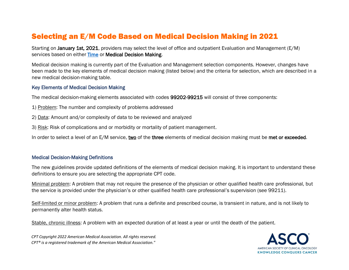# Selecting an E/M Code Based on Medical Decision Making in 2021

Starting on January 1st, 2021, providers may select the level of office and outpatient Evaluation and Management (E/M) services based on either **Time** or Medical Decision Making.

Medical decision making is currently part of the Evaluation and Management selection components. However, changes have been made to the key elements of medical decision making (listed below) and the criteria for selection, which are described in a new medical decision-making table.

#### Key Elements of Medical Decision Making

The medical decision-making elements associated with codes 99202-99215 will consist of three components:

- 1) Problem: The number and complexity of problems addressed
- <span id="page-9-0"></span>2) Data: Amount and/or complexity of data to be reviewed and analyzed
- 3) Risk: Risk of complications and or morbidity or mortality of patient management.

In order to select a level of an E/M service, two of the three elements of medical decision making must be met or exceeded.

#### Medical Decision-Making Definitions

The new guidelines provide updated definitions of the elements of medical decision making. It is important to understand these definitions to ensure you are selecting the appropriate CPT code.

Minimal problem: A problem that may not require the presence of the physician or other qualified health care professional, but the service is provided under the physician's or other qualified health care professional's supervision (see 99211).

Self-limited or minor problem: A problem that runs a definite and prescribed course, is transient in nature, and is not likely to permanently alter health status.

Stable, chronic illness: A problem with an expected duration of at least a year or until the death of the patient.

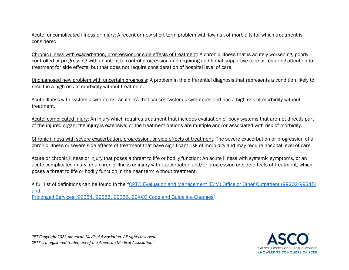Acute, uncomplicated illness or injury: A recent or new short-term problem with low risk of morbidity for which treatment is considered.

Chronic illness with exacerbation, progression, or side effects of treatment: A chronic illness that is acutely worsening, poorly controlled or progressing with an intent to control progression and requiring additional supportive care or requiring attention to treatment for side effects, but that does not require consideration of hospital level of care.

Undiagnosed new problem with uncertain prognosis: A problem in the differential diagnosis that represents a condition likely to result in a high risk of morbidity without treatment.

Acute illness with systemic symptoms: An illness that causes systemic symptoms and has a high risk of morbidity without treatment.

Acute, complicated injury: An injury which requires treatment that includes evaluation of body systems that are not directly part of the injured organ, the injury is extensive, or the treatment options are multiple and/or associated with risk of morbidity.

Chronic illness with severe exacerbation, progression, or side effects of treatment: The severe exacerbation or progression of a chronic illness or severe side effects of treatment that have significant risk of morbidity and may require hospital level of care.

Acute or chronic illness or injury that poses a threat to life or bodily function: An acute illness with systemic symptoms, or an acute complicated injury, or a chronic illness or injury with exacerbation and/or progression or side effects of treatment, which poses a threat to life or bodily function in the near term without treatment.

A full list of definitions can be found in the "[CPT® Evaluation and Management \(E/M\) Office or Other Outpatient \(99202-99215\)](https://www.ama-assn.org/system/files/2019-06/cpt-office-prolonged-svs-code-changes.pdf)  [and](https://www.ama-assn.org/system/files/2019-06/cpt-office-prolonged-svs-code-changes.pdf)

[Prolonged Services \(99354, 99355, 99356, 99XXX\) Code and Guideline Changes](https://www.ama-assn.org/system/files/2019-06/cpt-office-prolonged-svs-code-changes.pdf)"



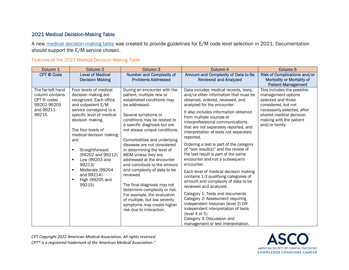#### 2021 Medical Decision-Making Table

A new [medical decision-making table](https://www.ama-assn.org/system/files/2019-06/cpt-revised-mdm-grid.pdf) was created to provide guidelines for E/M code level selection in 2021. Documentation should support the E/M service chosen.

|  |  | Features of the 2021 Medical Decision-Making Table |  |
|--|--|----------------------------------------------------|--|
|  |  |                                                    |  |

| Column <sub>1</sub>                                                                        | Column <sub>2</sub>                                                                                                                                                                                                                                                                                                                                                                  | Column <sub>3</sub>                                                                                                                                                                                                                                                                                                                                                                                                                                                                                                                                                                                                                                       | Column <sub>4</sub>                                                                                                                                                                                                                                                                                                                                                                                                                                                                                                                                                                                                                                                                                                                                                                                                                                                                                                                | Column <sub>5</sub>                                                                                                                                                                                  |
|--------------------------------------------------------------------------------------------|--------------------------------------------------------------------------------------------------------------------------------------------------------------------------------------------------------------------------------------------------------------------------------------------------------------------------------------------------------------------------------------|-----------------------------------------------------------------------------------------------------------------------------------------------------------------------------------------------------------------------------------------------------------------------------------------------------------------------------------------------------------------------------------------------------------------------------------------------------------------------------------------------------------------------------------------------------------------------------------------------------------------------------------------------------------|------------------------------------------------------------------------------------------------------------------------------------------------------------------------------------------------------------------------------------------------------------------------------------------------------------------------------------------------------------------------------------------------------------------------------------------------------------------------------------------------------------------------------------------------------------------------------------------------------------------------------------------------------------------------------------------------------------------------------------------------------------------------------------------------------------------------------------------------------------------------------------------------------------------------------------|------------------------------------------------------------------------------------------------------------------------------------------------------------------------------------------------------|
| <b>CPT ® Code</b>                                                                          | <b>Level of Medical</b><br><b>Decision Making</b>                                                                                                                                                                                                                                                                                                                                    | <b>Number and Complexity of</b><br><b>Problems Addressed</b>                                                                                                                                                                                                                                                                                                                                                                                                                                                                                                                                                                                              | Amount and Complexity of Data to Be<br><b>Reviewed and Analyzed</b>                                                                                                                                                                                                                                                                                                                                                                                                                                                                                                                                                                                                                                                                                                                                                                                                                                                                | <b>Risk of Complications and/or</b><br><b>Morbidity or Mortality of</b><br><b>Patient Management</b>                                                                                                 |
| The far-left hand<br>column contains<br>CPT ® codes<br>99202-99205<br>and 99211-<br>99215. | Four levels of medical<br>decision making are<br>recognized. Each office<br>and outpatient E/M<br>service correspond to a<br>specific level of medical<br>decision making.<br>The four levels of<br>medical decision making<br>are:<br>Straightforward<br>٠<br>(99202 and 99212)<br>Low (99203 and<br>٠<br>99213)<br>Moderate (99204<br>п<br>and 99214)<br>High (99205 and<br>99215) | During an encounter with the<br>patient, multiple new or<br>established conditions may<br>be addressed.<br>Several symptoms or<br>conditions may be related to<br>a specific diagnosis but are<br>not always unique conditions.<br>Comorbidities and underlying<br>diseases are not considered<br>in determining the level of<br>MDM unless they are<br>addressed at the encounter<br>and contribute to the amount<br>and complexity of data to be<br>reviewed.<br>The final diagnosis may not<br>determine complexity or risk.<br>For example, the evaluation<br>of multiple, but low severity<br>symptoms may create higher<br>risk due to interaction. | Data includes medical records, tests,<br>and/or other information that must be<br>obtained, ordered, reviewed, and<br>analyzed for the encounter.<br>It also includes information obtained<br>from multiple sources or<br>interprofessional communications<br>that are not separately reported, and<br>interpretation of tests not separately<br>reported.<br>Ordering a test is part of the category<br>of "test result(s)" and the review of<br>the test result is part of the same<br>encounter and not a subsequent<br>encounter.<br>Each level of medical decision making<br>contains 1-3 qualifying categories of<br>amount and complexity of data to be<br>reviewed and analyzed.<br>Category 1: Tests and documents<br>Category 2: Assessment requiring<br>independent historian (level 3) OR<br>independent interpretation of tests<br>(level 4 or 5)<br>Category 3: Discussion and<br>management or test interpretation. | This includes the possible<br>management options<br>selected and those<br>considered, but not<br>necessarily selected, after<br>shared medical decision<br>making with the patient<br>and/or family. |

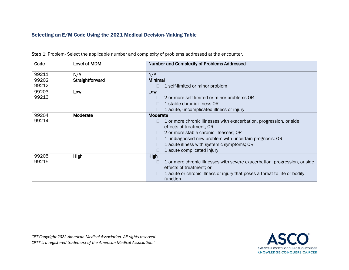#### Selecting an E/M Code Using the 2021 Medical Decision-Making Table

| Code  | Level of MDM    | <b>Number and Complexity of Problems Addressed</b>                         |
|-------|-----------------|----------------------------------------------------------------------------|
| 99211 | N/A             | N/A                                                                        |
| 99202 | Straightforward | <b>Minimal</b>                                                             |
| 99212 |                 | 1 self-limited or minor problem                                            |
| 99203 | Low             | Low                                                                        |
| 99213 |                 | 2 or more self-limited or minor problems OR                                |
|       |                 | 1 stable chronic illness OR                                                |
|       |                 | 1 acute, uncomplicated illness or injury                                   |
| 99204 | Moderate        | Moderate                                                                   |
| 99214 |                 | 1 or more chronic illnesses with exacerbation, progression, or side        |
|       |                 | effects of treatment; OR                                                   |
|       |                 | 2 or more stable chronic illnesses; OR<br>$\Box$                           |
|       |                 | 1 undiagnosed new problem with uncertain prognosis; OR                     |
|       |                 | 1 acute illness with systemic symptoms; OR                                 |
|       |                 | 1 acute complicated injury                                                 |
| 99205 | High            | High                                                                       |
| 99215 |                 | 1 or more chronic illnesses with severe exacerbation, progression, or side |
|       |                 | effects of treatment; or                                                   |
|       |                 | 1 acute or chronic illness or injury that poses a threat to life or bodily |
|       |                 | function                                                                   |

Step 1: Problem- Select the applicable number and complexity of problems addressed at the encounter.

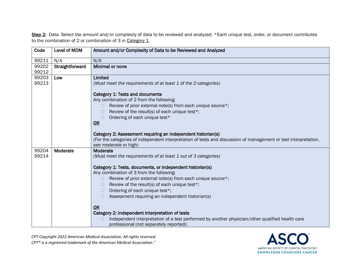Step 2: Data- Select the amount and/or complexity of data to be reviewed and analyzed. \*Each unique test, order, or document contributes to the combination of 2 or combination of 3 in Category 1.

| Code  | Level of MDM    | Amount and/or Complexity of Data to be Reviewed and Analyzed                                                                             |
|-------|-----------------|------------------------------------------------------------------------------------------------------------------------------------------|
| 99211 | N/A             | N/A                                                                                                                                      |
| 99202 | Straightforward | Minimal or none                                                                                                                          |
| 99212 |                 |                                                                                                                                          |
| 99203 | Low             | Limited                                                                                                                                  |
| 99213 |                 | (Must meet the requirements of at least 1 of the 2 categories)                                                                           |
|       |                 | Category 1: Tests and documents                                                                                                          |
|       |                 | Any combination of 2 from the following:                                                                                                 |
|       |                 | Review of prior external note(s) from each unique source*;<br>H                                                                          |
|       |                 | Review of the result(s) of each unique test*;                                                                                            |
|       |                 | Ordering of each unique test*                                                                                                            |
|       |                 | OR                                                                                                                                       |
|       |                 |                                                                                                                                          |
|       |                 | Category 2: Assessment requiring an independent historian(s)                                                                             |
|       |                 | (For the categories of independent interpretation of tests and discussion of management or test interpretation,<br>see moderate or high) |
| 99204 | Moderate        | Moderate                                                                                                                                 |
| 99214 |                 | (Must meet the requirements of at least 1 out of 3 categories)                                                                           |
|       |                 |                                                                                                                                          |
|       |                 | Category 1: Tests, documents, or independent historian(s)                                                                                |
|       |                 | Any combination of 3 from the following:                                                                                                 |
|       |                 | Review of prior external note(s) from each unique source*;                                                                               |
|       |                 | Review of the result(s) of each unique test*;                                                                                            |
|       |                 | Ordering of each unique test*;<br>$\mathbb{R}^n$                                                                                         |
|       |                 | Assessment requiring an independent historian(s)                                                                                         |
|       |                 | OR                                                                                                                                       |
|       |                 | Category 2: Independent interpretation of tests                                                                                          |
|       |                 | Independent interpretation of a test performed by another physician/other qualified health care                                          |
|       |                 | professional (not separately reported);                                                                                                  |

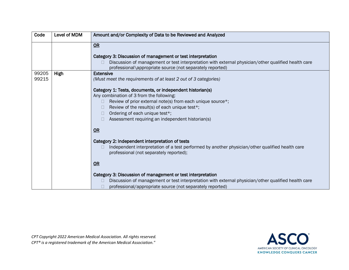| Code  | Level of MDM | Amount and/or Complexity of Data to be Reviewed and Analyzed                                                                               |
|-------|--------------|--------------------------------------------------------------------------------------------------------------------------------------------|
|       |              | OR                                                                                                                                         |
|       |              | Category 3: Discussion of management or test interpretation                                                                                |
|       |              | Discussion of management or test interpretation with external physician/other qualified health care                                        |
|       |              | professional\appropriate source (not separately reported)                                                                                  |
| 99205 | High         | <b>Extensive</b>                                                                                                                           |
| 99215 |              | (Must meet the requirements of at least 2 out of 3 categories)                                                                             |
|       |              | Category 1: Tests, documents, or independent historian(s)                                                                                  |
|       |              | Any combination of 3 from the following:                                                                                                   |
|       |              | Review of prior external note(s) from each unique source*;                                                                                 |
|       |              | Review of the result(s) of each unique test*;<br>$\Box$                                                                                    |
|       |              | Ordering of each unique test*;<br>$\Box$                                                                                                   |
|       |              | Assessment requiring an independent historian(s)                                                                                           |
|       |              | OR                                                                                                                                         |
|       |              | Category 2: Independent interpretation of tests                                                                                            |
|       |              | Independent interpretation of a test performed by another physician/other qualified health care<br>professional (not separately reported); |
|       |              | OR                                                                                                                                         |
|       |              | Category 3: Discussion of management or test interpretation                                                                                |
|       |              | Discussion of management or test interpretation with external physician/other qualified health care                                        |
|       |              | professional/appropriate source (not separately reported)                                                                                  |

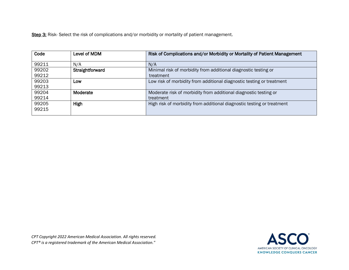Step 3: Risk- Select the risk of complications and/or morbidity or mortality of patient management.

| Code           | Level of MDM    | Risk of Complications and/or Morbidity or Mortality of Patient Management |
|----------------|-----------------|---------------------------------------------------------------------------|
| 99211          | N/A             | N/A                                                                       |
| 99202          | Straightforward | Minimal risk of morbidity from additional diagnostic testing or           |
| 99212          |                 | treatment                                                                 |
| 99203          | Low             | Low risk of morbidity from additional diagnostic testing or treatment     |
| 99213          |                 |                                                                           |
| 99204          | Moderate        | Moderate risk of morbidity from additional diagnostic testing or          |
| 99214          |                 | treatment                                                                 |
| 99205<br>99215 | High            | High risk of morbidity from additional diagnostic testing or treatment    |

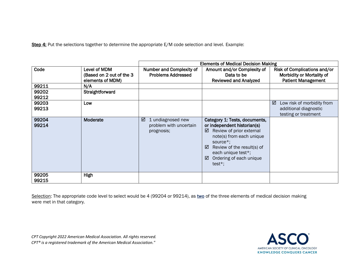Step 4: Put the selections together to determine the appropriate E/M code selection and level. Example:

|                |                                                              | <b>Elements of Medical Decision Making</b>                     |                                                                                                                                                                                                                                              |                                                                                        |
|----------------|--------------------------------------------------------------|----------------------------------------------------------------|----------------------------------------------------------------------------------------------------------------------------------------------------------------------------------------------------------------------------------------------|----------------------------------------------------------------------------------------|
| Code           | Level of MDM<br>(Based on 2 out of the 3<br>elements of MDM) | <b>Number and Complexity of</b><br><b>Problems Addressed</b>   | Amount and/or Complexity of<br>Data to be<br><b>Reviewed and Analyzed</b>                                                                                                                                                                    | Risk of Complications and/or<br>Morbidity or Mortality of<br><b>Patient Management</b> |
| 99211          | N/A                                                          |                                                                |                                                                                                                                                                                                                                              |                                                                                        |
| 99202<br>99212 | Straightforward                                              |                                                                |                                                                                                                                                                                                                                              |                                                                                        |
| 99203<br>99213 | Low                                                          |                                                                |                                                                                                                                                                                                                                              | ☑<br>Low risk of morbidity from<br>additional diagnostic<br>testing or treatment       |
| 99204<br>99214 | Moderate                                                     | ☑<br>1 undiagnosed new<br>problem with uncertain<br>prognosis; | Category 1: Tests, documents,<br>or independent historian(s)<br>Review of prior external<br>☑<br>note(s) from each unique<br>source*;<br>Review of the result(s) of<br>⊠<br>each unique test*;<br>Ordering of each unique<br>☑<br>test $*$ ; |                                                                                        |
| 99205<br>99215 | High                                                         |                                                                |                                                                                                                                                                                                                                              |                                                                                        |

Selection: The appropriate code level to select would be 4 (99204 or 99214), as two of the three elements of medical decision making were met in that category.

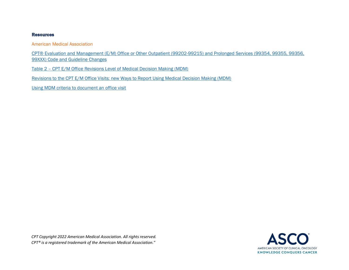#### **Resources**

American Medical Association

[CPT® Evaluation and Management \(E/M\) Office or Other Outpatient \(99202-99215\) and Prolonged Services \(99354, 99355, 99356,](https://www.ama-assn.org/system/files/2019-06/cpt-office-prolonged-svs-code-changes.pdf)  [99XXX\) Code and Guideline Changes](https://www.ama-assn.org/system/files/2019-06/cpt-office-prolonged-svs-code-changes.pdf)

Table 2 – [CPT E/M Office Revisions Level of Medical Decision Making \(MDM\)](https://www.ama-assn.org/system/files/2019-06/cpt-revised-mdm-grid.pdf)

[Revisions to the CPT E/M Office Visits: new Ways to Report Using Medical Decision Making \(MDM\)](https://edhub.ama-assn.org/cpt-education/interactive/18461932)

[Using MDM criteria to document an office visit](https://www.youtube.com/watch?v=4WIGCVLK-u0&feature=emb_title)

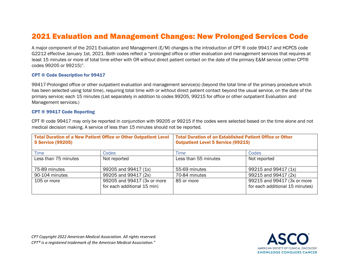# 2021 Evaluation and Management Changes: New Prolonged Services Code

A major component of the 2021 Evaluation and Management (E/M) changes is the introduction of CPT ® code 99417 and HCPCS code G2212 effective January 1st, 2021. Both codes reflect a "prolonged office or other evaluation and management services that requires at least 15 minutes or more of total time either with OR without direct patient contact on the date of the primary E&M service (either CPT® codes 99205 or 99215)".

#### CPT ® Code Description for 99417

99417-Prolonged office or other outpatient evaluation and management service(s) (beyond the total time of the primary procedure which has been selected using total time), requiring total time with or without direct patient contact beyond the usual service, on the date of the primary service; each 15 minutes (List separately in addition to codes 99205, 99215 for office or other outpatient Evaluation and Management services.)

#### <span id="page-18-0"></span>CPT ® 99417 Code Reporting

CPT ® code 99417 may only be reported in conjunction with 99205 or 99215 if the codes were selected based on the time alone and not medical decision making. A service of less than 15 minutes should not be reported.

| <b>Total Duration of a New Patient Office or Other Outpatient Level</b><br>5 Service (99205) |                                                            | <b>Total Duration of an Established Patient Office or Other</b><br><b>Outpatient Level 5 Service (99215)</b> |                                                                |
|----------------------------------------------------------------------------------------------|------------------------------------------------------------|--------------------------------------------------------------------------------------------------------------|----------------------------------------------------------------|
| <b>Time</b>                                                                                  | <b>Codes</b>                                               | Time                                                                                                         | Codes                                                          |
| Less than 75 minutes                                                                         | Not reported                                               | Less than 55 minutes                                                                                         | Not reported                                                   |
| 75-89 minutes                                                                                | 99205 and 99417 (1x)                                       | 55-69 minutes                                                                                                | 99215 and 99417 (1x)                                           |
| 90-104 minutes                                                                               | 99205 and 99417 (2x)                                       | 70-84 minutes                                                                                                | 99215 and 99417 (2x)                                           |
| 105 or more                                                                                  | 99205 and 99417 (3x or more<br>for each additional 15 min) | 85 or more                                                                                                   | 99215 and 99417 (3x or more<br>for each additional 15 minutes) |

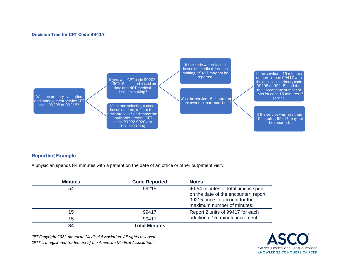#### Decision Tree for CPT Code 99417

Was the primary evaluation and management service CPT code 99205 or 99215?

If yes, was CPT code 99205 or 99215 selected based on time and NOT medical decision making?

If not and selecting a code based on time, refer to the ime intervals\* and chose the applicable service. (CPT codes 99202-99204 or 99211-99214)

If the code was selected based on medical decision making, 99417 may not be reported.

Was the service 15 minutes or more over the maximum time? If the service is 15 minutes or more, report 99417 with the applicable primary code (99205 or 99215) and then the appropriate number of units for each 15 minutes of service.

If the service was less than 15 minutes, 99417 may not be reported.

#### Reporting Example

A physician spends 84 minutes with a patient on the date of an office or other outpatient visit.

| <b>Minutes</b> | <b>Code Reported</b> | <b>Notes</b>                                                                                                                                |
|----------------|----------------------|---------------------------------------------------------------------------------------------------------------------------------------------|
| 54             | 99215                | 40-54 minutes of total time is spent<br>on the date of the encounter; report<br>99215 once to account for the<br>maximum number of minutes. |
| 15             | 99417                | Report 2 units of 99417 for each                                                                                                            |
| 15             | 99417                | additional 15- minute increment.                                                                                                            |
| 84             | <b>Total Minutes</b> |                                                                                                                                             |